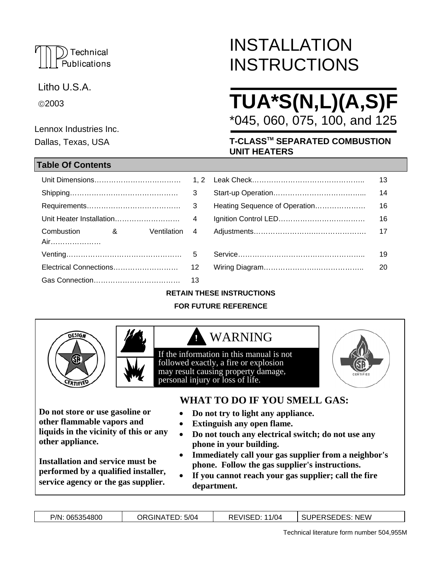## Technical Publications

Litho U.S.A.

©2003

Lennox Industries Inc. Dallas, Texas, USA

## **Table Of Contents**

Gas Connection……………………………… 13

# INSTALLATION **INSTRUCTIONS**

# **TUA\*S(N,L)(A,S)F**  \*045, 060, 075, 100, and 125

**T-CLASSTM SEPARATED COMBUSTION UNIT HEATERS**

|                   |                       |               |                               | -13 |
|-------------------|-----------------------|---------------|-------------------------------|-----|
|                   |                       |               |                               | 14  |
|                   |                       |               | Heating Sequence of Operation |     |
|                   |                       |               |                               | 16  |
| Combustion<br>Air | $\alpha$ and $\alpha$ | Ventilation 4 |                               |     |
|                   |                       |               |                               | 19  |
|                   |                       |               |                               | 20  |

## **RETAIN THESE INSTRUCTIONS**

## **FOR FUTURE REFERENCE**



**other appliance.** 

**Do not store or use gasoline or other flammable vapors and** 

**liquids in the vicinity of this or any**

**Installation and service must be performed by a qualified installer, service agency or the gas supplier.**

## WARNING

If the information in this manual is not followed exactly, a fire or explosion may result causing property damage*,*  personal injury or loss of life.



## **WHAT TO DO IF YOU SMELL GAS:**

• **Do not try to light any appliance.** 

- **Extinguish any open flame.**
- **Do not touch any electrical switch; do not use any phone in your building.**
- **Immediately call your gas supplier from a neighbor's phone. Follow the gas supplier's instructions.**
- **If you cannot reach your gas supplier; call the fire department.**

| P/N: 065354800 | ORGINATED: 5/04 | <b>REVISED: 11/04</b> | SUPERSEDES: NEW |
|----------------|-----------------|-----------------------|-----------------|
|                |                 |                       |                 |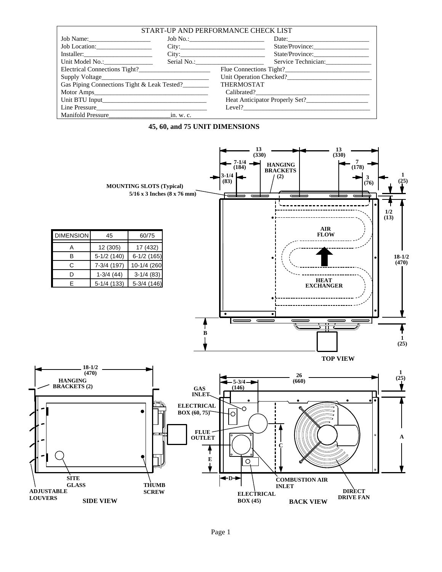| START-UP AND PERFORMANCE CHECK LIST         |  |                                    |  |  |  |  |  |
|---------------------------------------------|--|------------------------------------|--|--|--|--|--|
| Job Name:                                   |  | Date:                              |  |  |  |  |  |
| Job Location:                               |  | City:                              |  |  |  |  |  |
| Installer:                                  |  | City:<br>State/Province:           |  |  |  |  |  |
|                                             |  | Service Technician:<br>Serial No.: |  |  |  |  |  |
|                                             |  |                                    |  |  |  |  |  |
|                                             |  |                                    |  |  |  |  |  |
| Gas Piping Connections Tight & Leak Tested? |  | <b>THERMOSTAT</b>                  |  |  |  |  |  |
|                                             |  |                                    |  |  |  |  |  |
|                                             |  |                                    |  |  |  |  |  |
|                                             |  | Level?                             |  |  |  |  |  |
| Manifold Pressure in. w. c.                 |  |                                    |  |  |  |  |  |



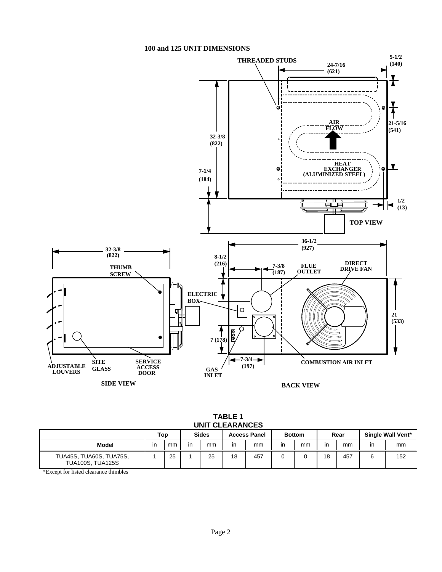#### **100 and 125 UNIT DIMENSIONS**



| TABLE 1         |
|-----------------|
| UNIT CLEARANCES |
|                 |

|                                                           | Top |    |    | <b>Sides</b> |    | <b>Access Panel</b> |     | <b>Bottom</b> |    | Rear |    | Single Wall Vent* |
|-----------------------------------------------------------|-----|----|----|--------------|----|---------------------|-----|---------------|----|------|----|-------------------|
| Model                                                     | ın  | mm | in | mm           | in | mm                  | in. | mm            | ın | mm   | in | mm                |
| <b>TUA45S, TUA60S, TUA75S,</b><br><b>TUA100S, TUA125S</b> |     | 25 |    | 25           | 18 | 457                 |     |               | 18 | 457  | ิล | 152               |

\*Except for listed clearance thimbles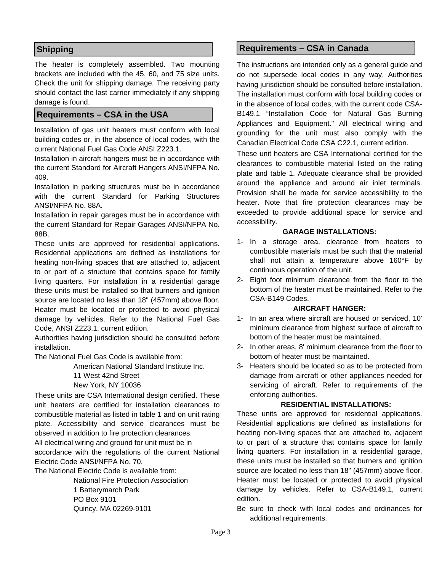## **Shipping**

The heater is completely assembled. Two mounting brackets are included with the 45, 60, and 75 size units. Check the unit for shipping damage. The receiving party should contact the last carrier immediately if any shipping damage is found.

### **Requirements – CSA in the USA**

Installation of gas unit heaters must conform with local building codes or, in the absence of local codes, with the current National Fuel Gas Code ANSI Z223.1.

Installation in aircraft hangers must be in accordance with the current Standard for Aircraft Hangers ANSI/NFPA No. 409.

Installation in parking structures must be in accordance with the current Standard for Parking Structures ANSI/NFPA No. 88A.

Installation in repair garages must be in accordance with the current Standard for Repair Garages ANSI/NFPA No. 88B.

These units are approved for residential applications. Residential applications are defined as installations for heating non-living spaces that are attached to, adjacent to or part of a structure that contains space for family living quarters. For installation in a residential garage these units must be installed so that burners and ignition source are located no less than 18" (457mm) above floor. Heater must be located or protected to avoid physical damage by vehicles. Refer to the National Fuel Gas Code, ANSI Z223.1, current edition.

Authorities having jurisdiction should be consulted before installation.

The National Fuel Gas Code is available from:

American National Standard Institute Inc.

11 West 42nd Street

#### New York, NY 10036

These units are CSA International design certified. These unit heaters are certified for installation clearances to combustible material as listed in table 1 and on unit rating plate. Accessibility and service clearances must be observed in addition to fire protection clearances.

All electrical wiring and ground for unit must be in accordance with the regulations of the current National Electric Code ANSI/NFPA No. 70.

The National Electric Code is available from:

 National Fire Protection Association 1 Batterymarch Park PO Box 9101 Quincy, MA 02269-9101

## **Requirements – CSA in Canada**

The instructions are intended only as a general guide and do not supersede local codes in any way. Authorities having jurisdiction should be consulted before installation. The installation must conform with local building codes or in the absence of local codes, with the current code CSA-B149.1 "Installation Code for Natural Gas Burning Appliances and Equipment." All electrical wiring and grounding for the unit must also comply with the Canadian Electrical Code CSA C22.1, current edition.

These unit heaters are CSA International certified for the clearances to combustible material listed on the rating plate and table 1. Adequate clearance shall be provided around the appliance and around air inlet terminals. Provision shall be made for service accessibility to the heater. Note that fire protection clearances may be exceeded to provide additional space for service and accessibility.

#### **GARAGE INSTALLATIONS:**

- 1- In a storage area, clearance from heaters to combustible materials must be such that the material shall not attain a temperature above 160°F by continuous operation of the unit.
- 2- Eight foot minimum clearance from the floor to the bottom of the heater must be maintained. Refer to the CSA-B149 Codes.

#### **AIRCRAFT HANGER:**

- 1- In an area where aircraft are housed or serviced, 10' minimum clearance from highest surface of aircraft to bottom of the heater must be maintained.
- 2- In other areas, 8' minimum clearance from the floor to bottom of heater must be maintained.
- 3- Heaters should be located so as to be protected from damage from aircraft or other appliances needed for servicing of aircraft. Refer to requirements of the enforcing authorities.

#### **RESIDENTIAL INSTALLATIONS:**

These units are approved for residential applications. Residential applications are defined as installations for heating non-living spaces that are attached to, adjacent to or part of a structure that contains space for family living quarters. For installation in a residential garage, these units must be installed so that burners and ignition source are located no less than 18" (457mm) above floor. Heater must be located or protected to avoid physical damage by vehicles. Refer to CSA-B149.1, current edition.

Be sure to check with local codes and ordinances for additional requirements.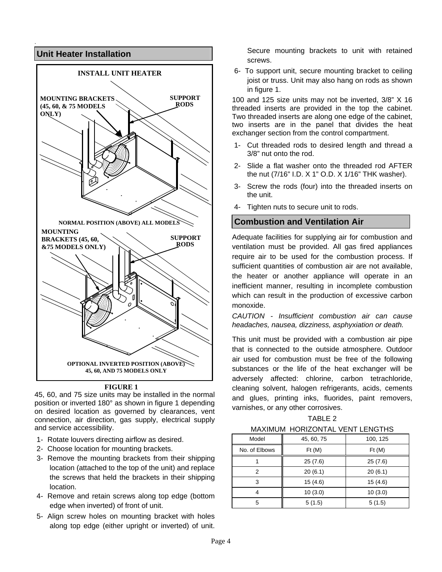

#### **FIGURE 1**

45, 60, and 75 size units may be installed in the normal position or inverted 180° as shown in figure 1 depending on desired location as governed by clearances, vent connection, air direction, gas supply, electrical supply and service accessibility.

- 1- Rotate louvers directing airflow as desired.
- 2- Choose location for mounting brackets.
- 3- Remove the mounting brackets from their shipping location (attached to the top of the unit) and replace the screws that held the brackets in their shipping location.
- 4- Remove and retain screws along top edge (bottom edge when inverted) of front of unit.
- 5- Align screw holes on mounting bracket with holes along top edge (either upright or inverted) of unit.

Secure mounting brackets to unit with retained screws.

6- To support unit, secure mounting bracket to ceiling joist or truss. Unit may also hang on rods as shown in figure 1.

100 and 125 size units may not be inverted, 3/8" X 16 threaded inserts are provided in the top the cabinet. Two threaded inserts are along one edge of the cabinet, two inserts are in the panel that divides the heat exchanger section from the control compartment.

- 1- Cut threaded rods to desired length and thread a 3/8" nut onto the rod.
- 2- Slide a flat washer onto the threaded rod AFTER the nut (7/16" I.D. X 1" O.D. X 1/16" THK washer).
- 3- Screw the rods (four) into the threaded inserts on the unit.
- 4- Tighten nuts to secure unit to rods.

## **Combustion and Ventilation Air**

Adequate facilities for supplying air for combustion and ventilation must be provided. All gas fired appliances require air to be used for the combustion process. If sufficient quantities of combustion air are not available, the heater or another appliance will operate in an inefficient manner, resulting in incomplete combustion which can result in the production of excessive carbon monoxide.

*CAUTION - Insufficient combustion air can cause headaches, nausea, dizziness, asphyxiation or death.* 

This unit must be provided with a combustion air pipe that is connected to the outside atmosphere. Outdoor air used for combustion must be free of the following substances or the life of the heat exchanger will be adversely affected: chlorine, carbon tetrachloride, cleaning solvent, halogen refrigerants, acids, cements and glues, printing inks, fluorides, paint removers, varnishes, or any other corrosives.

TABLE 2

| <b>MAXIMUM HORIZONTAL VENT LENGTHS</b> |            |          |  |  |  |  |  |  |
|----------------------------------------|------------|----------|--|--|--|--|--|--|
| Model                                  | 45, 60, 75 | 100, 125 |  |  |  |  |  |  |
| No. of Elbows                          | Ft(M)      | Ft(M)    |  |  |  |  |  |  |
|                                        | 25(7.6)    | 25(7.6)  |  |  |  |  |  |  |
| 2                                      | 20(6.1)    | 20(6.1)  |  |  |  |  |  |  |
| 3                                      | 15(4.6)    | 15(4.6)  |  |  |  |  |  |  |
|                                        | 10(3.0)    | 10(3.0)  |  |  |  |  |  |  |
| 5                                      | 5(1.5)     | 5(1.5)   |  |  |  |  |  |  |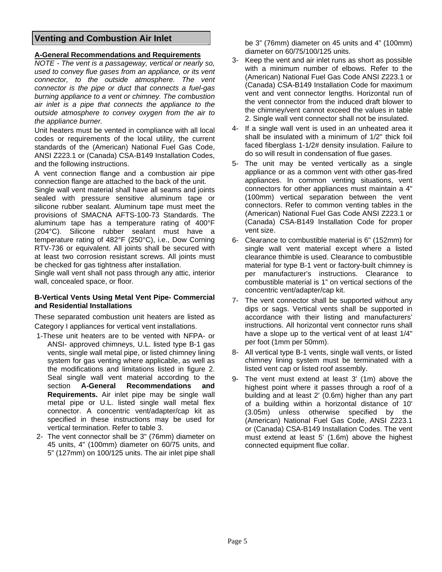## **Venting and Combustion Air Inlet**

#### **A-General Recommendations and Requirements**

*NOTE - The vent is a passageway, vertical or nearly so, used to convey flue gases from an appliance, or its vent connector, to the outside atmosphere. The vent connector is the pipe or duct that connects a fuel-gas burning appliance to a vent or chimney. The combustion air inlet is a pipe that connects the appliance to the outside atmosphere to convey oxygen from the air to the appliance burner.* 

Unit heaters must be vented in compliance with all local codes or requirements of the local utility, the current standards of the (American) National Fuel Gas Code, ANSI Z223.1 or (Canada) CSA-B149 Installation Codes, and the following instructions.

A vent connection flange and a combustion air pipe connection flange are attached to the back of the unit.

Single wall vent material shall have all seams and joints sealed with pressure sensitive aluminum tape or silicone rubber sealant. Aluminum tape must meet the provisions of SMACNA AFTS-100-73 Standards. The aluminum tape has a temperature rating of 400°F (204°C). Silicone rubber sealant must have a temperature rating of 482°F (250°C), i.e., Dow Corning RTV-736 or equivalent. All joints shall be secured with at least two corrosion resistant screws. All joints must be checked for gas tightness after installation.

Single wall vent shall not pass through any attic, interior wall, concealed space, or floor.

#### **B-Vertical Vents Using Metal Vent Pipe- Commercial and Residential Installations**

These separated combustion unit heaters are listed as Category I appliances for vertical vent installations.

- 1-These unit heaters are to be vented with NFPA- or ANSI- approved chimneys, U.L. listed type B-1 gas vents, single wall metal pipe, or listed chimney lining system for gas venting where applicable, as well as the modifications and limitations listed in figure 2. Seal single wall vent material according to the section **A-General Recommendations and Requirements.** Air inlet pipe may be single wall metal pipe or U.L. listed single wall metal flex connector. A concentric vent/adapter/cap kit as specified in these instructions may be used for vertical termination. Refer to table 3.
- 2- The vent connector shall be 3" (76mm) diameter on 45 units, 4" (100mm) diameter on 60/75 units, and 5" (127mm) on 100/125 units. The air inlet pipe shall

be 3" (76mm) diameter on 45 units and 4" (100mm) diameter on 60/75/100/125 units.

- 3- Keep the vent and air inlet runs as short as possible with a minimum number of elbows. Refer to the (American) National Fuel Gas Code ANSI Z223.1 or (Canada) CSA-B149 Installation Code for maximum vent and vent connector lengths. Horizontal run of the vent connector from the induced draft blower to the chimney/vent cannot exceed the values in table 2. Single wall vent connector shall not be insulated.
- 4- If a single wall vent is used in an unheated area it shall be insulated with a minimum of 1/2" thick foil faced fiberglass 1-1/2# density insulation. Failure to do so will result in condensation of flue gases.
- 5- The unit may be vented vertically as a single appliance or as a common vent with other gas-fired appliances. In common venting situations, vent connectors for other appliances must maintain a 4" (100mm) vertical separation between the vent connectors. Refer to common venting tables in the (American) National Fuel Gas Code ANSI Z223.1 or (Canada) CSA-B149 Installation Code for proper vent size.
- 6- Clearance to combustible material is 6" (152mm) for single wall vent material except where a listed clearance thimble is used. Clearance to combustible material for type B-1 vent or factory-built chimney is per manufacturer's instructions. Clearance to combustible material is 1" on vertical sections of the concentric vent/adapter/cap kit.
- 7- The vent connector shall be supported without any dips or sags. Vertical vents shall be supported in accordance with their listing and manufacturers' instructions. All horizontal vent connector runs shall have a slope up to the vertical vent of at least 1/4" per foot (1mm per 50mm).
- 8- All vertical type B-1 vents, single wall vents, or listed chimney lining system must be terminated with a listed vent cap or listed roof assembly.
- 9- The vent must extend at least 3' (1m) above the highest point where it passes through a roof of a building and at least 2' (0.6m) higher than any part of a building within a horizontal distance of 10' (3.05m) unless otherwise specified by the (American) National Fuel Gas Code, ANSI Z223.1 or (Canada) CSA-B149 Installation Codes. The vent must extend at least 5' (1.6m) above the highest connected equipment flue collar.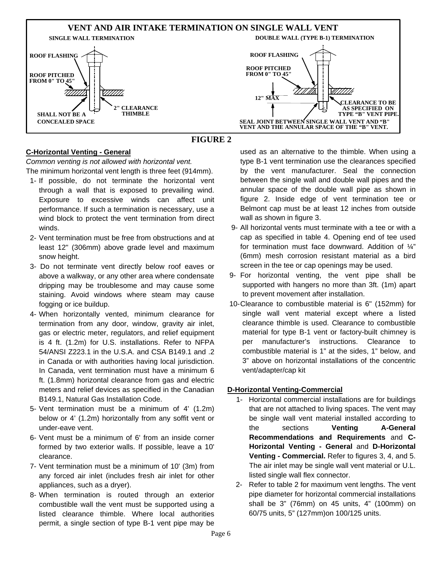

## **FIGURE 2**

#### **C-Horizontal Venting - General**

*Common venting is not allowed with horizontal vent.*

The minimum horizontal vent length is three feet (914mm).

- 1- If possible, do not terminate the horizontal vent through a wall that is exposed to prevailing wind. Exposure to excessive winds can affect unit performance. If such a termination is necessary, use a wind block to protect the vent termination from direct winds.
- 2- Vent termination must be free from obstructions and at least 12" (306mm) above grade level and maximum snow height.
- 3- Do not terminate vent directly below roof eaves or above a walkway, or any other area where condensate dripping may be troublesome and may cause some staining. Avoid windows where steam may cause fogging or ice buildup.
- 4- When horizontally vented, minimum clearance for termination from any door, window, gravity air inlet, gas or electric meter, regulators, and relief equipment is 4 ft. (1.2m) for U.S. installations. Refer to NFPA 54/ANSI Z223.1 in the U.S.A. and CSA B149.1 and .2 in Canada or with authorities having local jurisdiction. In Canada, vent termination must have a minimum 6 ft. (1.8mm) horizontal clearance from gas and electric meters and relief devices as specified in the Canadian B149.1, Natural Gas Installation Code.
- 5- Vent termination must be a minimum of 4' (1.2m) below or 4' (1.2m) horizontally from any soffit vent or under-eave vent.
- 6- Vent must be a minimum of 6' from an inside corner formed by two exterior walls. If possible, leave a 10' clearance.
- 7- Vent termination must be a minimum of 10' (3m) from any forced air inlet (includes fresh air inlet for other appliances, such as a dryer).
- 8- When termination is routed through an exterior combustible wall the vent must be supported using a listed clearance thimble. Where local authorities permit, a single section of type B-1 vent pipe may be

used as an alternative to the thimble. When using a type B-1 vent termination use the clearances specified by the vent manufacturer. Seal the connection between the single wall and double wall pipes and the annular space of the double wall pipe as shown in figure 2. Inside edge of vent termination tee or Belmont cap must be at least 12 inches from outside wall as shown in figure 3.

- 9- All horizontal vents must terminate with a tee or with a cap as specified in table 4. Opening end of tee used for termination must face downward. Addition of ¼" (6mm) mesh corrosion resistant material as a bird screen in the tee or cap openings may be used.
- 9- For horizontal venting, the vent pipe shall be supported with hangers no more than 3ft. (1m) apart to prevent movement after installation.
- 10- Clearance to combustible material is 6" (152mm) for single wall vent material except where a listed clearance thimble is used. Clearance to combustible material for type B-1 vent or factory-built chimney is per manufacturer's instructions. Clearance to combustible material is 1" at the sides, 1" below, and 3" above on horizontal installations of the concentric vent/adapter/cap kit

#### **D-Horizontal Venting-Commercial**

- 1- Horizontal commercial installations are for buildings that are not attached to living spaces. The vent may be single wall vent material installed according to the sections **Venting A-General Recommendations and Requirements** and **C-Horizontal Venting - General** and **D-Horizontal Venting - Commercial.** Refer to figures 3, 4, and 5. The air inlet may be single wall vent material or U.L. listed single wall flex connector.
- 2- Refer to table 2 for maximum vent lengths. The vent pipe diameter for horizontal commercial installations shall be 3" (76mm) on 45 units, 4" (100mm) on 60/75 units, 5" (127mm)on 100/125 units.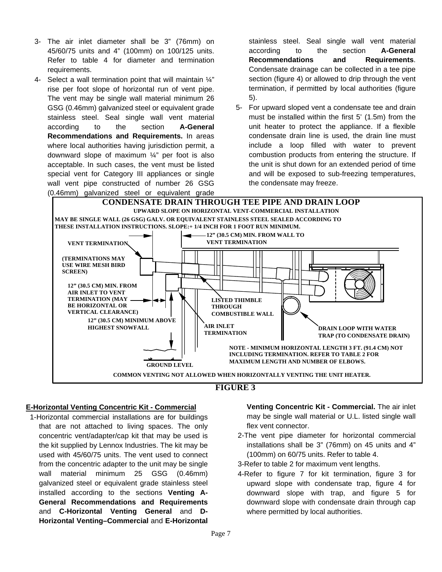- 3- The air inlet diameter shall be 3" (76mm) on 45/60/75 units and 4" (100mm) on 100/125 units. Refer to table 4 for diameter and termination requirements.
- 4- Select a wall termination point that will maintain ¼" rise per foot slope of horizontal run of vent pipe. The vent may be single wall material minimum 26 GSG (0.46mm) galvanized steel or equivalent grade stainless steel. Seal single wall vent material according to the section **A-General Recommendations and Requirements.** In areas where local authorities having jurisdiction permit, a downward slope of maximum ¼" per foot is also acceptable. In such cases, the vent must be listed special vent for Category III appliances or single wall vent pipe constructed of number 26 GSG (0.46mm) galvanized steel or equivalent grade

stainless steel. Seal single wall vent material according to the section **A-General Recommendations and Requirements**. Condensate drainage can be collected in a tee pipe section (figure 4) or allowed to drip through the vent termination, if permitted by local authorities (figure 5).

5- For upward sloped vent a condensate tee and drain must be installed within the first 5' (1.5m) from the unit heater to protect the appliance. If a flexible condensate drain line is used, the drain line must include a loop filled with water to prevent combustion products from entering the structure. If the unit is shut down for an extended period of time and will be exposed to sub-freezing temperatures, the condensate may freeze.



## **FIGURE 3**

#### **E-Horizontal Venting Concentric Kit - Commercial**

 1-Horizontal commercial installations are for buildings that are not attached to living spaces. The only concentric vent/adapter/cap kit that may be used is the kit supplied by Lennox Industries. The kit may be used with 45/60/75 units. The vent used to connect from the concentric adapter to the unit may be single wall material minimum 25 GSG (0.46mm) galvanized steel or equivalent grade stainless steel installed according to the sections **Venting A-General Recommendations and Requirements**  and **C-Horizontal Venting General** and **D-Horizontal Venting–Commercial** and **E-Horizontal** 

**Venting Concentric Kit - Commercial.** The air inlet may be single wall material or U.L. listed single wall flex vent connector.

- 2-The vent pipe diameter for horizontal commercial installations shall be 3" (76mm) on 45 units and 4" (100mm) on 60/75 units. Refer to table 4.
- 3-Refer to table 2 for maximum vent lengths.
- 4-Refer to figure 7 for kit termination, figure 3 for upward slope with condensate trap, figure 4 for downward slope with trap, and figure 5 for downward slope with condensate drain through cap where permitted by local authorities.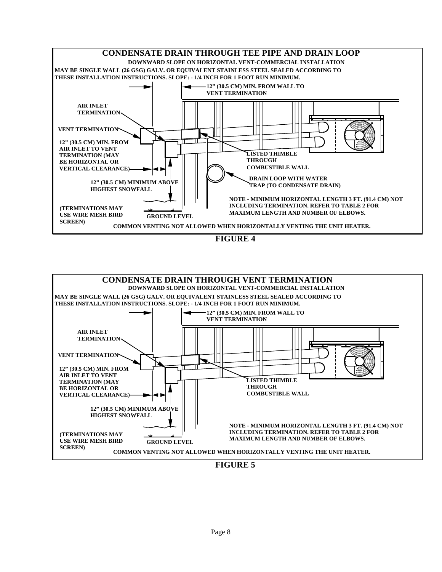

**FIGURE 4**



**FIGURE 5**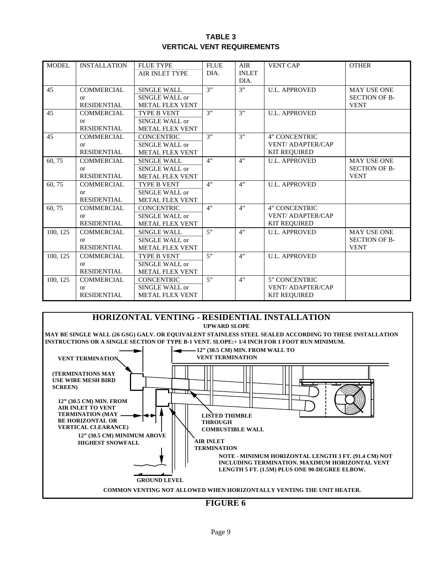#### **TABLE 3 VERTICAL VENT REQUIREMENTS**

| MODEL    | <b>INSTALLATION</b> | <b>FLUE TYPE</b>       | <b>FLUE</b> | AIR          | <b>VENT CAP</b>         | <b>OTHER</b>         |
|----------|---------------------|------------------------|-------------|--------------|-------------------------|----------------------|
|          |                     | <b>AIR INLET TYPE</b>  | DIA.        | <b>INLET</b> |                         |                      |
|          |                     |                        |             | DIA.         |                         |                      |
| 45       | <b>COMMERCIAL</b>   | <b>SINGLE WALL</b>     | 3"          | 3"           | <b>U.L. APPROVED</b>    | <b>MAY USE ONE</b>   |
|          | <b>or</b>           | SINGLE WALL or         |             |              |                         | <b>SECTION OF B-</b> |
|          | <b>RESIDENTIAL</b>  | <b>METAL FLEX VENT</b> |             |              |                         | <b>VENT</b>          |
| 45       | <b>COMMERCIAL</b>   | TYPE B VENT            | 3"          | 3"           | <b>U.L. APPROVED</b>    |                      |
|          | $\alpha$            | SINGLE WALL or         |             |              |                         |                      |
|          | <b>RESIDENTIAL</b>  | <b>METAL FLEX VENT</b> |             |              |                         |                      |
| 45       | <b>COMMERCIAL</b>   | <b>CONCENTRIC</b>      | 3"          | 3"           | 4" CONCENTRIC           |                      |
|          | $\alpha$            | SINGLE WALL or         |             |              | <b>VENT/ADAPTER/CAP</b> |                      |
|          | <b>RESIDENTIAL</b>  | <b>METAL FLEX VENT</b> |             |              | <b>KIT REQUIRED</b>     |                      |
| 60,75    | <b>COMMERCIAL</b>   | <b>SINGLE WALL</b>     | 4"          | 4"           | <b>U.L. APPROVED</b>    | <b>MAY USE ONE</b>   |
|          | or                  | SINGLE WALL or         |             |              |                         | <b>SECTION OF B-</b> |
|          | <b>RESIDENTIAL</b>  | <b>METAL FLEX VENT</b> |             |              |                         | <b>VENT</b>          |
| 60,75    | <b>COMMERCIAL</b>   | TYPE B VENT            | 4"          | 4"           | <b>U.L. APPROVED</b>    |                      |
|          | <b>or</b>           | SINGLE WALL or         |             |              |                         |                      |
|          | <b>RESIDENTIAL</b>  | <b>METAL FLEX VENT</b> |             |              |                         |                      |
| 60,75    | <b>COMMERCIAL</b>   | <b>CONCENTRIC</b>      | 4"          | 4"           | 4" CONCENTRIC           |                      |
|          | $\alpha$            | SINGLE WALL or         |             |              | <b>VENT/ADAPTER/CAP</b> |                      |
|          | <b>RESIDENTIAL</b>  | <b>METAL FLEX VENT</b> |             |              | <b>KIT REQUIRED</b>     |                      |
| 100, 125 | <b>COMMERCIAL</b>   | SINGLE WALL            | 5"          | 4"           | <b>U.L. APPROVED</b>    | <b>MAY USE ONE</b>   |
|          | <b>or</b>           | SINGLE WALL or         |             |              |                         | <b>SECTION OF B-</b> |
|          | <b>RESIDENTIAL</b>  | <b>METAL FLEX VENT</b> |             |              |                         | <b>VENT</b>          |
| 100, 125 | <b>COMMERCIAL</b>   | <b>TYPE B VENT</b>     | 5           | 4"           | <b>U.L. APPROVED</b>    |                      |
|          | <b>or</b>           | SINGLE WALL or         |             |              |                         |                      |
|          | <b>RESIDENTIAL</b>  | <b>METAL FLEX VENT</b> |             |              |                         |                      |
| 100.125  | <b>COMMERCIAL</b>   | <b>CONCENTRIC</b>      | 5"          | 4"           | 5" CONCENTRIC           |                      |
|          | $\alpha$            | SINGLE WALL or         |             |              | <b>VENT/ADAPTER/CAP</b> |                      |
|          | <b>RESIDENTIAL</b>  | <b>METAL FLEX VENT</b> |             |              | <b>KIT REQUIRED</b>     |                      |



**FIGURE 6**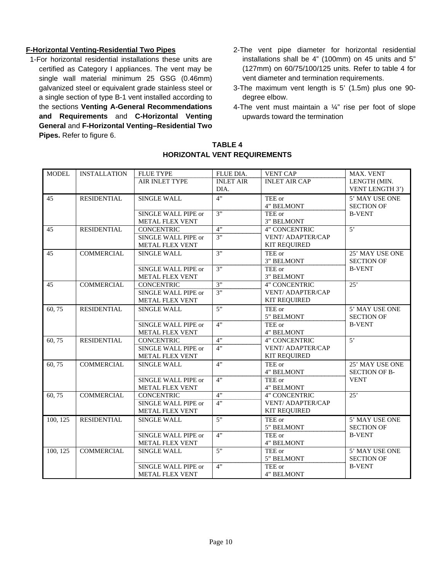### **F-Horizontal Venting-Residential Two Pipes**

- 1-For horizontal residential installations these units are certified as Category I appliances. The vent may be single wall material minimum 25 GSG (0.46mm) galvanized steel or equivalent grade stainless steel or a single section of type B-1 vent installed according to the sections **Venting A-General Recommendations and Requirements** and **C-Horizontal Venting General** and **F-Horizontal Venting–Residential Two Pipes.** Refer to figure 6.
- 2-The vent pipe diameter for horizontal residential installations shall be 4" (100mm) on 45 units and 5" (127mm) on 60/75/100/125 units. Refer to table 4 for vent diameter and termination requirements.
- 3-The maximum vent length is 5' (1.5m) plus one 90 degree elbow.
- 4-The vent must maintain a ¼" rise per foot of slope upwards toward the termination

| <b>MODEL</b> | <b>INSTALLATION</b> | <b>FLUE TYPE</b>    | FLUE DIA.        | <b>VENT CAP</b>          | MAX. VENT            |  |
|--------------|---------------------|---------------------|------------------|--------------------------|----------------------|--|
|              |                     | AIR INLET TYPE      | <b>INLET AIR</b> | <b>INLET AIR CAP</b>     | LENGTH (MIN.         |  |
|              |                     |                     | DIA.             |                          | VENT LENGTH 3')      |  |
| 45           | <b>RESIDENTIAL</b>  | <b>SINGLE WALL</b>  | 4"               | TEE or                   | 5' MAY USE ONE       |  |
|              |                     |                     |                  | 4" BELMONT               | <b>SECTION OF</b>    |  |
|              |                     | SINGLE WALL PIPE or | 3"               | TEE or                   | <b>B-VENT</b>        |  |
|              |                     | METAL FLEX VENT     |                  | 3" BELMONT               |                      |  |
| 45           | <b>RESIDENTIAL</b>  | <b>CONCENTRIC</b>   | 4"               | 4" CONCENTRIC            | $\overline{5}$       |  |
|              |                     | SINGLE WALL PIPE or | $\overline{3''}$ | <b>VENT/ ADAPTER/CAP</b> |                      |  |
|              |                     | METAL FLEX VENT     |                  | <b>KIT REQUIRED</b>      |                      |  |
| 45           | <b>COMMERCIAL</b>   | <b>SINGLE WALL</b>  | 3"               | TEE or                   | 25' MAY USE ONE      |  |
|              |                     |                     |                  | 3" BELMONT               | <b>SECTION OF</b>    |  |
|              |                     | SINGLE WALL PIPE or | $\overline{3"}$  | TEE or                   | <b>B-VENT</b>        |  |
|              |                     | METAL FLEX VENT     |                  | 3" BELMONT               |                      |  |
| 45           | <b>COMMERCIAL</b>   | <b>CONCENTRIC</b>   | 3"               | 4" CONCENTRIC            | 25'                  |  |
|              |                     | SINGLE WALL PIPE or | $\overline{3"}$  | <b>VENT/ ADAPTER/CAP</b> |                      |  |
|              |                     | METAL FLEX VENT     |                  | <b>KIT REQUIRED</b>      |                      |  |
| 60,75        | <b>RESIDENTIAL</b>  | <b>SINGLE WALL</b>  | 5"               | TEE or                   | 5' MAY USE ONE       |  |
|              |                     |                     |                  | 5" BELMONT               | <b>SECTION OF</b>    |  |
|              |                     | SINGLE WALL PIPE or | 4"               | TEE or                   | <b>B-VENT</b>        |  |
|              |                     | METAL FLEX VENT     |                  | 4" BELMONT               |                      |  |
| 60, 75       | <b>RESIDENTIAL</b>  | <b>CONCENTRIC</b>   | 4"               | 4" CONCENTRIC            | $\overline{5}$       |  |
|              |                     | SINGLE WALL PIPE or | 4"               | <b>VENT/ADAPTER/CAP</b>  |                      |  |
|              |                     | METAL FLEX VENT     |                  | <b>KIT REQUIRED</b>      |                      |  |
| 60,75        | <b>COMMERCIAL</b>   | <b>SINGLE WALL</b>  | 4"               | TEE or                   | 25' MAY USE ONE      |  |
|              |                     |                     |                  | 4" BELMONT               | <b>SECTION OF B-</b> |  |
|              |                     | SINGLE WALL PIPE or | $\overline{4"}$  | TEE or                   | <b>VENT</b>          |  |
|              |                     | METAL FLEX VENT     |                  | 4" BELMONT               |                      |  |
| 60,75        | <b>COMMERCIAL</b>   | <b>CONCENTRIC</b>   | 4"               | 4" CONCENTRIC            | 25'                  |  |
|              |                     | SINGLE WALL PIPE or | 4"               | VENT/ ADAPTER/CAP        |                      |  |
|              |                     | METAL FLEX VENT     |                  | <b>KIT REQUIRED</b>      |                      |  |
| 100, 125     | <b>RESIDENTIAL</b>  | <b>SINGLE WALL</b>  | $\overline{5}$   | TEE or                   | 5' MAY USE ONE       |  |
|              |                     |                     |                  | 5" BELMONT               | <b>SECTION OF</b>    |  |
|              |                     | SINGLE WALL PIPE or | 4"               | TEE or                   | <b>B-VENT</b>        |  |
|              |                     | METAL FLEX VENT     |                  | 4" BELMONT               |                      |  |
| 100, 125     | <b>COMMERCIAL</b>   | <b>SINGLE WALL</b>  | 5"               | TEE or                   | 5' MAY USE ONE       |  |
|              |                     |                     |                  | 5" BELMONT               | <b>SECTION OF</b>    |  |
|              |                     | SINGLE WALL PIPE or | 4"               | TEE or                   | <b>B-VENT</b>        |  |
|              |                     | METAL FLEX VENT     |                  | 4" BELMONT               |                      |  |

#### **TABLE 4 HORIZONTAL VENT REQUIREMENTS**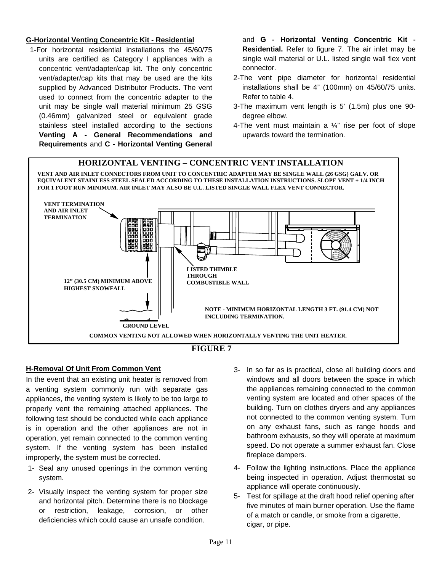#### **G-Horizontal Venting Concentric Kit - Residential**

 1-For horizontal residential installations the 45/60/75 units are certified as Category I appliances with a concentric vent/adapter/cap kit. The only concentric vent/adapter/cap kits that may be used are the kits supplied by Advanced Distributor Products. The vent used to connect from the concentric adapter to the unit may be single wall material minimum 25 GSG (0.46mm) galvanized steel or equivalent grade stainless steel installed according to the sections **Venting A - General Recommendations and Requirements** and **C - Horizontal Venting General**  and **G - Horizontal Venting Concentric Kit - Residential.** Refer to figure 7. The air inlet may be single wall material or U.L. listed single wall flex vent connector.

- 2-The vent pipe diameter for horizontal residential installations shall be 4" (100mm) on 45/60/75 units. Refer to table 4.
- 3-The maximum vent length is 5' (1.5m) plus one 90 degree elbow.
- 4-The vent must maintain a  $\frac{1}{4}$ " rise per foot of slope upwards toward the termination.



### **FIGURE 7**

### **H-Removal Of Unit From Common Vent**

In the event that an existing unit heater is removed from a venting system commonly run with separate gas appliances, the venting system is likely to be too large to properly vent the remaining attached appliances. The following test should be conducted while each appliance is in operation and the other appliances are not in operation, yet remain connected to the common venting system. If the venting system has been installed improperly, the system must be corrected.

- 1- Seal any unused openings in the common venting system.
- 2- Visually inspect the venting system for proper size and horizontal pitch. Determine there is no blockage or restriction, leakage, corrosion, or other deficiencies which could cause an unsafe condition.
- 3- In so far as is practical, close all building doors and windows and all doors between the space in which the appliances remaining connected to the common venting system are located and other spaces of the building. Turn on clothes dryers and any appliances not connected to the common venting system. Turn on any exhaust fans, such as range hoods and bathroom exhausts, so they will operate at maximum speed. Do not operate a summer exhaust fan. Close fireplace dampers.
- 4- Follow the lighting instructions. Place the appliance being inspected in operation. Adjust thermostat so appliance will operate continuously.
- 5- Test for spillage at the draft hood relief opening after five minutes of main burner operation. Use the flame of a match or candle, or smoke from a cigarette, cigar, or pipe.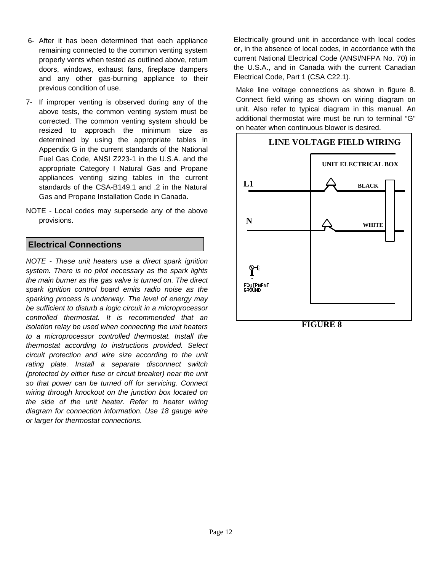- 6- After it has been determined that each appliance remaining connected to the common venting system properly vents when tested as outlined above, return doors, windows, exhaust fans, fireplace dampers and any other gas-burning appliance to their previous condition of use.
- 7- If improper venting is observed during any of the above tests, the common venting system must be corrected. The common venting system should be resized to approach the minimum size as determined by using the appropriate tables in Appendix G in the current standards of the National Fuel Gas Code, ANSI Z223-1 in the U.S.A. and the appropriate Category I Natural Gas and Propane appliances venting sizing tables in the current standards of the CSA-B149.1 and .2 in the Natural Gas and Propane Installation Code in Canada.
- NOTE Local codes may supersede any of the above provisions.

## **Electrical Connections**

*NOTE - These unit heaters use a direct spark ignition system. There is no pilot necessary as the spark lights the main burner as the gas valve is turned on. The direct spark ignition control board emits radio noise as the sparking process is underway. The level of energy may be sufficient to disturb a logic circuit in a microprocessor controlled thermostat. It is recommended that an isolation relay be used when connecting the unit heaters to a microprocessor controlled thermostat. Install the thermostat according to instructions provided. Select circuit protection and wire size according to the unit rating plate. Install a separate disconnect switch (protected by either fuse or circuit breaker) near the unit so that power can be turned off for servicing. Connect wiring through knockout on the junction box located on the side of the unit heater. Refer to heater wiring diagram for connection information. Use 18 gauge wire or larger for thermostat connections.* 

Electrically ground unit in accordance with local codes or, in the absence of local codes, in accordance with the current National Electrical Code (ANSI/NFPA No. 70) in the U.S.A., and in Canada with the current Canadian Electrical Code, Part 1 (CSA C22.1).

Make line voltage connections as shown in figure 8. Connect field wiring as shown on wiring diagram on unit. Also refer to typical diagram in this manual. An additional thermostat wire must be run to terminal "G" on heater when continuous blower is desired.

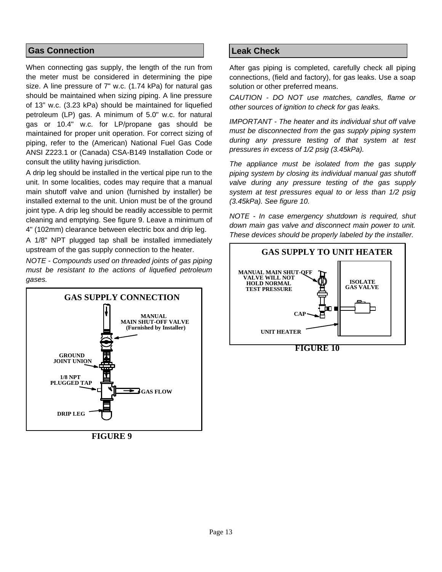## **Gas Connection**

When connecting gas supply, the length of the run from the meter must be considered in determining the pipe size. A line pressure of 7" w.c. (1.74 kPa) for natural gas should be maintained when sizing piping. A line pressure of 13" w.c. (3.23 kPa) should be maintained for liquefied petroleum (LP) gas. A minimum of 5.0" w.c. for natural gas or 10.4" w.c. for LP/propane gas should be maintained for proper unit operation. For correct sizing of piping, refer to the (American) National Fuel Gas Code ANSI Z223.1 or (Canada) CSA-B149 Installation Code or consult the utility having jurisdiction.

A drip leg should be installed in the vertical pipe run to the unit. In some localities, codes may require that a manual main shutoff valve and union (furnished by installer) be installed external to the unit. Union must be of the ground joint type. A drip leg should be readily accessible to permit cleaning and emptying. See figure 9. Leave a minimum of 4" (102mm) clearance between electric box and drip leg.

A 1/8" NPT plugged tap shall be installed immediately upstream of the gas supply connection to the heater.

*NOTE - Compounds used on threaded joints of gas piping must be resistant to the actions of liquefied petroleum gases.* 



**FIGURE 9**

## **Leak Check**

After gas piping is completed, carefully check all piping connections, (field and factory), for gas leaks. Use a soap solution or other preferred means.

*CAUTION - DO NOT use matches, candles, flame or other sources of ignition to check for gas leaks.* 

*IMPORTANT - The heater and its individual shut off valve must be disconnected from the gas supply piping system during any pressure testing of that system at test pressures in excess of 1/2 psig (3.45kPa).* 

*The appliance must be isolated from the gas supply piping system by closing its individual manual gas shutoff valve during any pressure testing of the gas supply system at test pressures equal to or less than 1/2 psig (3.45kPa). See figure 10.* 

*NOTE - In case emergency shutdown is required, shut down main gas valve and disconnect main power to unit. These devices should be properly labeled by the installer.* 



**FIGURE 10**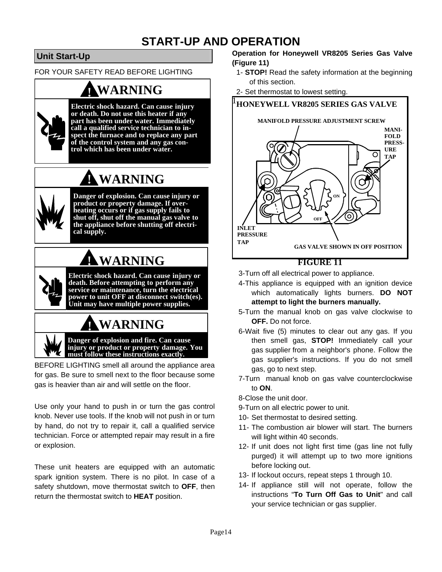## **START-UP AND OPERATION**

## **Unit Start-Up**

FOR YOUR SAFETY READ BEFORE LIGHTING

## **! WARNING**



**Electric shock hazard. Can cause injury or death. Do not use this heater if any part has been under water. Immediately call a qualified service technician to inspect the furnace and to replace any part of the control system and any gas control which has been under water.**

# **! WARNING**



**Danger of explosion. Can cause injury or product or property damage. If overheating occurs or if gas supply fails to shut off, shut off the manual gas valve to the appliance before shutting off electrical supply.**

# **! WARNING**

**Electric shock hazard. Can cause injury or death. Before attempting to perform any service or maintenance, turn the electrical power to unit OFF at disconnect switch(es). Unit may have multiple power supplies.**

# **! WARNING**

**Danger of explosion and fire. Can cause injury or product or property damage. You must follow these instructions exactly.**

BEFORE LIGHTING smell all around the appliance area for gas. Be sure to smell next to the floor because some gas is heavier than air and will settle on the floor.

Use only your hand to push in or turn the gas control knob. Never use tools. If the knob will not push in or turn by hand, do not try to repair it, call a qualified service technician. Force or attempted repair may result in a fire or explosion.

These unit heaters are equipped with an automatic spark ignition system. There is no pilot. In case of a safety shutdown, move thermostat switch to **OFF**, then return the thermostat switch to **HEAT** position.

### **Operation for Honeywell VR8205 Series Gas Valve (Figure 11)**

- 1- **STOP!** Read the safety information at the beginning of this section.
- 2- Set thermostat to lowest setting.



## **FIGURE 11**

3- Turn off all electrical power to appliance.

- 4- This appliance is equipped with an ignition device which automatically lights burners. **DO NOT attempt to light the burners manually.**
- 5- Turn the manual knob on gas valve clockwise to **OFF.** Do not force.
- 6- Wait five (5) minutes to clear out any gas. If you then smell gas, **STOP!** Immediately call your gas supplier from a neighbor's phone. Follow the gas supplier's instructions. If you do not smell gas, go to next step.
- 7- Turn manual knob on gas valve counterclockwise to **ON**.

8-Close the unit door.

- 9- Turn on all electric power to unit.
- 10- Set thermostat to desired setting.
- 11- The combustion air blower will start. The burners will light within 40 seconds.
- 12- If unit does not light first time (gas line not fully purged) it will attempt up to two more ignitions before locking out.
- 13- If lockout occurs, repeat steps 1 through 10.
- 14- If appliance still will not operate, follow the instructions "**To Turn Off Gas to Unit**" and call your service technician or gas supplier.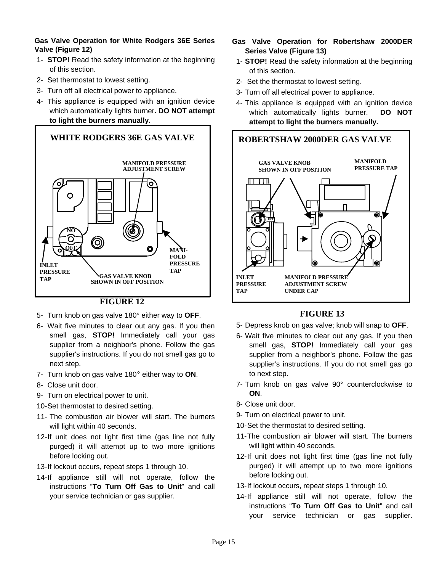#### **Gas Valve Operation for White Rodgers 36E Series Valve (Figure 12)**

- 1- **STOP!** Read the safety information at the beginning of this section.
- 2- Set thermostat to lowest setting.
- 3- Turn off all electrical power to appliance.
- 4- This appliance is equipped with an ignition device which automatically lights burner**. DO NOT attempt to light the burners manually.**



## **FIGURE 12**

- 5- Turn knob on gas valve 180° either way to **OFF**.
- 6- Wait five minutes to clear out any gas. If you then smell gas, **STOP!** Immediately call your gas supplier from a neighbor's phone. Follow the gas supplier's instructions. If you do not smell gas go to next step.
- 7- Turn knob on gas valve 180° either way to **ON**.
- 8- Close unit door.
- 9- Turn on electrical power to unit.
- 10- Set thermostat to desired setting.
- 11- The combustion air blower will start. The burners will light within 40 seconds.
- 12-If unit does not light first time (gas line not fully purged) it will attempt up to two more ignitions before locking out.
- 13- If lockout occurs, repeat steps 1 through 10.
- 14-If appliance still will not operate, follow the instructions "**To Turn Off Gas to Unit**" and call your service technician or gas supplier.
- **Gas Valve Operation for Robertshaw 2000DER Series Valve (Figure 13)**
- 1- **STOP!** Read the safety information at the beginning of this section.
- 2- Set the thermostat to lowest setting.
- 3- Turn off all electrical power to appliance.
- 4- This appliance is equipped with an ignition device which automatically lights burner. **DO NOT attempt to light the burners manually.**



## **FIGURE 13**

- 5- Depress knob on gas valve; knob will snap to **OFF**.
- 6- Wait five minutes to clear out any gas. If you then smell gas, **STOP!** Immediately call your gas supplier from a neighbor's phone. Follow the gas supplier's instructions. If you do not smell gas go to next step.
- 7- Turn knob on gas valve 90° counterclockwise to **ON**.
- 8- Close unit door.
- 9- Turn on electrical power to unit.
- 10- Set the thermostat to desired setting.
- 11- The combustion air blower will start. The burners will light within 40 seconds.
- 12- If unit does not light first time (gas line not fully purged) it will attempt up to two more ignitions before locking out.
- 13- If lockout occurs, repeat steps 1 through 10.
- 14-If appliance still will not operate, follow the instructions "**To Turn Off Gas to Unit**" and call your service technician or gas supplier.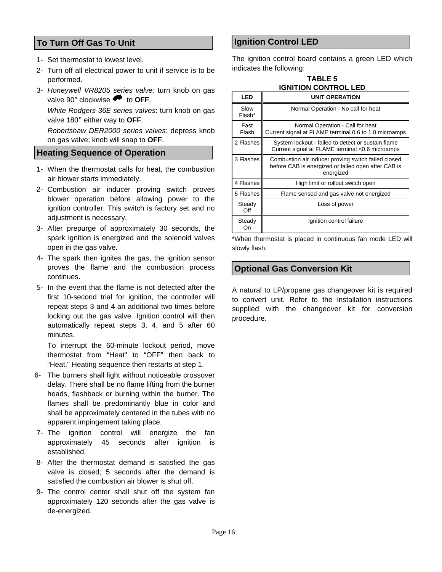## **To Turn Off Gas To Unit**

- 1- Set thermostat to lowest level.
- 2- Turn off all electrical power to unit if service is to be performed.
- 3- *Honeywell VR8205 series valve:* turn knob on gas valve 90° clockwise  $\bullet$  to **OFF**.

 *White Rodgers 36E series valves*: turn knob on gas valve 180° either way to **OFF**.

 *Robertshaw DER2000 series valves*: depress knob on gas valve; knob will snap to **OFF**.

#### **Heating Sequence of Operation**

- 1- When the thermostat calls for heat, the combustion air blower starts immediately.
- 2- Combustion air inducer proving switch proves blower operation before allowing power to the ignition controller. This switch is factory set and no adjustment is necessary.
- 3- After prepurge of approximately 30 seconds, the spark ignition is energized and the solenoid valves open in the gas valve.
- 4- The spark then ignites the gas, the ignition sensor proves the flame and the combustion process continues.
- 5- In the event that the flame is not detected after the first 10-second trial for ignition, the controller will repeat steps 3 and 4 an additional two times before locking out the gas valve. Ignition control will then automatically repeat steps 3, 4, and 5 after 60 minutes.

 To interrupt the 60-minute lockout period, move thermostat from "Heat" to "OFF" then back to "Heat." Heating sequence then restarts at step 1.

- 6- The burners shall light without noticeable crossover delay. There shall be no flame lifting from the burner heads, flashback or burning within the burner. The flames shall be predominantly blue in color and shall be approximately centered in the tubes with no apparent impingement taking place.
- 7- The ignition control will energize the fan approximately 45 seconds after ignition is established.
- 8- After the thermostat demand is satisfied the gas valve is closed; 5 seconds after the demand is satisfied the combustion air blower is shut off.
- 9- The control center shall shut off the system fan approximately 120 seconds after the gas valve is de-energized.

## **Ignition Control LED**

The ignition control board contains a green LED which indicates the following:

| <b>TABLE 5</b>              |
|-----------------------------|
| <b>IGNITION CONTROL LED</b> |
|                             |

| LED            | <b>UNIT OPERATION</b>                                                                                                   |
|----------------|-------------------------------------------------------------------------------------------------------------------------|
| Slow<br>Flash* | Normal Operation - No call for heat                                                                                     |
| Fast<br>Flash  | Normal Operation - Call for heat<br>Current signal at FLAME terminal 0.6 to 1.0 microamps                               |
| 2 Flashes      | System lockout - failed to detect or sustain flame<br>Current signal at FLAME terminal <0.6 microamps                   |
| 3 Flashes      | Combustion air inducer proving switch failed closed<br>before CAB is energized or failed open after CAB is<br>energized |
| 4 Flashes      | High limit or rollout switch open                                                                                       |
| 5 Flashes      | Flame sensed and gas valve not energized                                                                                |
| Steady<br>Off  | Loss of power                                                                                                           |
| Steady<br>On   | Ignition control failure                                                                                                |

\*When thermostat is placed in continuous fan mode LED will slowly flash.

## **Optional Gas Conversion Kit**

A natural to LP/propane gas changeover kit is required to convert unit. Refer to the installation instructions supplied with the changeover kit for conversion procedure.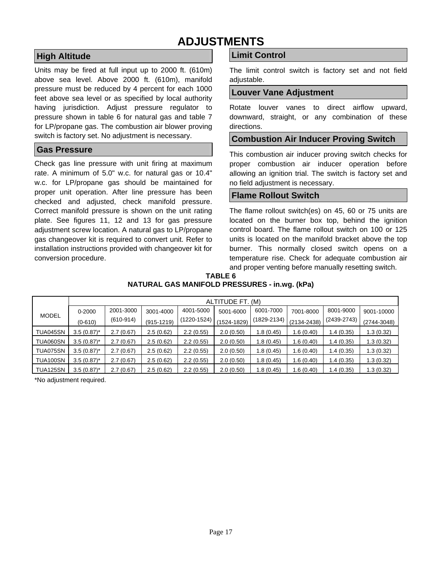## **ADJUSTMENTS**

## **High Altitude**

Units may be fired at full input up to 2000 ft. (610m) above sea level. Above 2000 ft. (610m), manifold pressure must be reduced by 4 percent for each 1000 feet above sea level or as specified by local authority having jurisdiction. Adjust pressure regulator to pressure shown in table 6 for natural gas and table 7 for LP/propane gas. The combustion air blower proving switch is factory set. No adjustment is necessary.

## **Gas Pressure**

Check gas line pressure with unit firing at maximum rate. A minimum of 5.0" w.c. for natural gas or 10.4" w.c. for LP/propane gas should be maintained for proper unit operation. After line pressure has been checked and adjusted, check manifold pressure. Correct manifold pressure is shown on the unit rating plate. See figures 11, 12 and 13 for gas pressure adjustment screw location. A natural gas to LP/propane gas changeover kit is required to convert unit. Refer to installation instructions provided with changeover kit for conversion procedure.

## **Limit Control**

The limit control switch is factory set and not field adjustable.

#### **Louver Vane Adjustment**

Rotate louver vanes to direct airflow upward, downward, straight, or any combination of these directions.

### **Combustion Air Inducer Proving Switch**

This combustion air inducer proving switch checks for proper combustion air inducer operation before allowing an ignition trial. The switch is factory set and no field adjustment is necessary.

## **Flame Rollout Switch**

The flame rollout switch(es) on 45, 60 or 75 units are located on the burner box top, behind the ignition control board. The flame rollout switch on 100 or 125 units is located on the manifold bracket above the top burner. This normally closed switch opens on a temperature rise. Check for adequate combustion air and proper venting before manually resetting switch.

| TABLE 6                                       |
|-----------------------------------------------|
| NATURAL GAS MANIFOLD PRESSURES - in.wg. (kPa) |

|                 | ALTITUDE FT. (M) |             |                |             |             |             |                 |                 |                 |  |
|-----------------|------------------|-------------|----------------|-------------|-------------|-------------|-----------------|-----------------|-----------------|--|
|                 | $0 - 2000$       | 2001-3000   | 3001-4000      | 4001-5000   | 5001-6000   | 6001-7000   | 7001-8000       | 8001-9000       | 9001-10000      |  |
| <b>MODEL</b>    | $(0-610)$        | $(610-914)$ | $(915 - 1219)$ | (1220-1524) | (1524-1829) | (1829-2134) | $(2134 - 2438)$ | $(2439 - 2743)$ | $(2744 - 3048)$ |  |
| TUA045SN        | $3.5(0.87)^*$    | 2.7(0.67)   | 2.5(0.62)      | 2.2(0.55)   | 2.0(0.50)   | 1.8(0.45)   | 1.6(0.40)       | 1.4(0.35)       | 1.3 (0.32)      |  |
| TUA060SN        | $3.5(0.87)^*$    | 2.7(0.67)   | 2.5(0.62)      | 2.2(0.55)   | 2.0(0.50)   | 1.8(0.45)   | 1.6 (0.40)      | 1.4(0.35)       | 1.3 (0.32)      |  |
| TUA075SN        | $3.5(0.87)^*$    | 2.7(0.67)   | 2.5(0.62)      | 2.2(0.55)   | 2.0(0.50)   | 1.8(0.45)   | 1.6 (0.40)      | 1.4(0.35)       | 1.3 (0.32)      |  |
| <b>TUA100SN</b> | $3.5(0.87)^*$    | 2.7(0.67)   | 2.5(0.62)      | 2.2(0.55)   | 2.0(0.50)   | 1.8(0.45)   | 1.6 (0.40)      | 1.4(0.35)       | 1.3 (0.32)      |  |
| <b>TUA125SN</b> | $3.5(0.87)^*$    | 2.7(0.67)   | 2.5(0.62)      | 2.2(0.55)   | 2.0(0.50)   | 1.8(0.45)   | .6(0.40)        | 1.4(0.35)       | 1.3(0.32)       |  |

\*No adjustment required.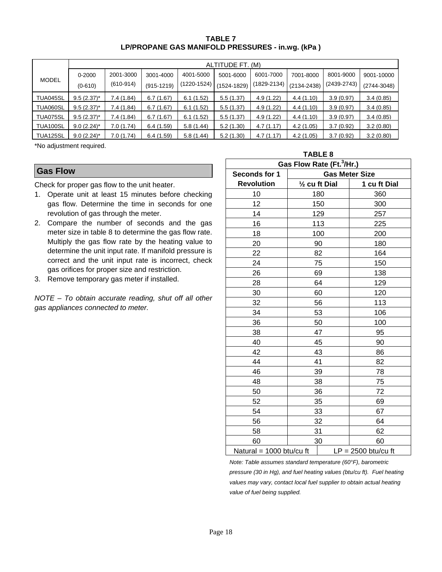**TABLE 7 LP/PROPANE GAS MANIFOLD PRESSURES - in.wg. (kPa )** 

|              | ALTITUDE FT. (M) |             |              |             |                 |                 |                 |                 |                 |
|--------------|------------------|-------------|--------------|-------------|-----------------|-----------------|-----------------|-----------------|-----------------|
| <b>MODEL</b> | $0 - 2000$       | 2001-3000   | 3001-4000    | 4001-5000   | 5001-6000       | 6001-7000       | 7001-8000       | 8001-9000       | 9001-10000      |
|              | $(0 - 610)$      | $(610-914)$ | $(915-1219)$ | (1220-1524) | $(1524 - 1829)$ | $(1829 - 2134)$ | $(2134 - 2438)$ | $(2439 - 2743)$ | $(2744 - 3048)$ |
| TUA045SL     | $9.5(2.37)^*$    | 7.4(1.84)   | 6.7(1.67)    | 6.1(1.52)   | 5.5(1.37)       | 4.9(1.22)       | 4.4(1.10)       | 3.9(0.97)       | 3.4(0.85)       |
| TUA060SL     | $9.5(2.37)^{*}$  | 7.4(1.84)   | 6.7(1.67)    | 6.1(1.52)   | 5.5(1.37)       | 4.9(1.22)       | 4.4 (1.10)      | 3.9(0.97)       | 3.4(0.85)       |
| TUA075SL     | $9.5(2.37)^{*}$  | 7.4(1.84)   | 6.7(1.67)    | 6.1(1.52)   | 5.5(1.37)       | 4.9(1.22)       | 4.4(1.10)       | 3.9(0.97)       | 3.4(0.85)       |
| TUA100SL     | $9.0(2.24)$ *    | 7.0(1.74)   | 6.4(1.59)    | 5.8(1.44)   | 5.2(1.30)       | 4.7(1.17)       | 4.2(1.05)       | 3.7(0.92)       | 3.2(0.80)       |
| TUA125SL     | $9.0(2.24)$ *    | 7.0(1.74)   | 6.4(1.59)    | 5.8(1.44)   | 5.2(1.30)       | 4.7(1.17)       | 4.2(1.05)       | 3.7(0.92)       | 3.2(0.80)       |

\*No adjustment required.

#### **Gas Flow**

Check for proper gas flow to the unit heater.

- 1. Operate unit at least 15 minutes before checking gas flow. Determine the time in seconds for one revolution of gas through the meter.
- 2. Compare the number of seconds and the gas meter size in table 8 to determine the gas flow rate. Multiply the gas flow rate by the heating value to determine the unit input rate. If manifold pressure is correct and the unit input rate is incorrect, check gas orifices for proper size and restriction.
- 3. Remove temporary gas meter if installed.

*NOTE – To obtain accurate reading, shut off all other gas appliances connected to meter.*

|                                                   | <b>TABLE 8</b>           |              |  |  |  |  |  |
|---------------------------------------------------|--------------------------|--------------|--|--|--|--|--|
| Gas Flow Rate (Ft. <sup>3</sup> /Hr.)             |                          |              |  |  |  |  |  |
| Seconds for 1                                     | <b>Gas Meter Size</b>    |              |  |  |  |  |  |
| <b>Revolution</b>                                 | $\frac{1}{2}$ cu ft Dial | 1 cu ft Dial |  |  |  |  |  |
| 10                                                | 180                      | 360          |  |  |  |  |  |
| 12                                                | 150                      | 300          |  |  |  |  |  |
| 14                                                | 129                      | 257          |  |  |  |  |  |
| 16                                                | 113                      | 225          |  |  |  |  |  |
| 18                                                | 100                      | 200          |  |  |  |  |  |
| 20                                                | 90                       | 180          |  |  |  |  |  |
| 22                                                | 82                       | 164          |  |  |  |  |  |
| 24                                                | 75                       | 150          |  |  |  |  |  |
| 26                                                | 69                       | 138          |  |  |  |  |  |
| 28                                                | 64                       | 129          |  |  |  |  |  |
| 30                                                | 60                       | 120          |  |  |  |  |  |
| 32                                                | 56                       | 113          |  |  |  |  |  |
| 34                                                | 53                       | 106          |  |  |  |  |  |
| 36                                                | 50                       | 100          |  |  |  |  |  |
| 38                                                | 47                       | 95           |  |  |  |  |  |
| 40                                                | 45                       | 90           |  |  |  |  |  |
| 42                                                | 43                       | 86           |  |  |  |  |  |
| 44                                                | 41                       | 82           |  |  |  |  |  |
| 46                                                | 39                       | 78           |  |  |  |  |  |
| 48                                                | 38                       | 75           |  |  |  |  |  |
| 50                                                | 36                       | 72           |  |  |  |  |  |
| 52                                                | 35                       | 69           |  |  |  |  |  |
| 54                                                | 33                       | 67           |  |  |  |  |  |
| 56                                                | 32                       | 64           |  |  |  |  |  |
| 58                                                | 31                       | 62           |  |  |  |  |  |
| 60                                                | 30                       | 60           |  |  |  |  |  |
| Natural = 1000 btu/cu ft<br>$LP = 2500$ btu/cu ft |                          |              |  |  |  |  |  |

*Note: Table assumes standard temperature (60°F), barometric pressure (30 in Hg), and fuel heating values (btu/cu ft). Fuel heating values may vary, contact local fuel supplier to obtain actual heating value of fuel being supplied.*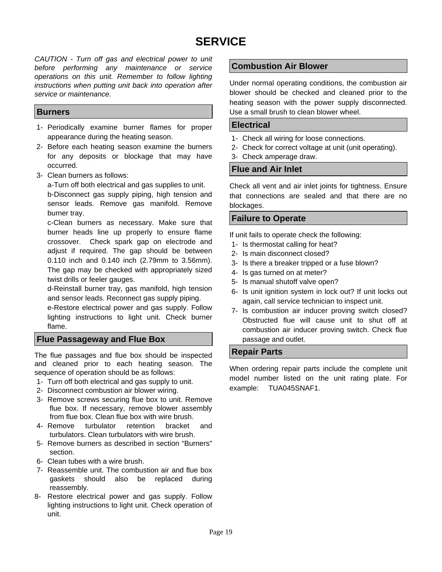## **SERVICE**

*CAUTION - Turn off gas and electrical power to unit before performing any maintenance or service operations on this unit. Remember to follow lighting instructions when putting unit back into operation after service or maintenance.* 

#### **Burners**

- 1- Periodically examine burner flames for proper appearance during the heating season.
- 2- Before each heating season examine the burners for any deposits or blockage that may have occurred.
- 3- Clean burners as follows:

a-Turn off both electrical and gas supplies to unit. b-Disconnect gas supply piping, high tension and sensor leads. Remove gas manifold. Remove burner tray.

c-Clean burners as necessary. Make sure that burner heads line up properly to ensure flame crossover. Check spark gap on electrode and adjust if required. The gap should be between 0.110 inch and 0.140 inch (2.79mm to 3.56mm). The gap may be checked with appropriately sized twist drills or feeler gauges.

d-Reinstall burner tray, gas manifold, high tension and sensor leads. Reconnect gas supply piping.

e-Restore electrical power and gas supply. Follow lighting instructions to light unit. Check burner flame.

## **Flue Passageway and Flue Box**

The flue passages and flue box should be inspected and cleaned prior to each heating season. The sequence of operation should be as follows:

- 1- Turn off both electrical and gas supply to unit.
- 2- Disconnect combustion air blower wiring.
- 3- Remove screws securing flue box to unit. Remove flue box. If necessary, remove blower assembly from flue box. Clean flue box with wire brush.
- 4- Remove turbulator retention bracket and turbulators. Clean turbulators with wire brush.
- 5- Remove burners as described in section "Burners" section.
- 6- Clean tubes with a wire brush.
- 7- Reassemble unit. The combustion air and flue box gaskets should also be replaced during reassembly.
- 8- Restore electrical power and gas supply. Follow lighting instructions to light unit. Check operation of unit.

## **Combustion Air Blower**

Under normal operating conditions, the combustion air blower should be checked and cleaned prior to the heating season with the power supply disconnected. Use a small brush to clean blower wheel.

#### **Electrical**

- 1- Check all wiring for loose connections.
- 2- Check for correct voltage at unit (unit operating).
- 3- Check amperage draw.

### **Flue and Air Inlet**

Check all vent and air inlet joints for tightness. Ensure that connections are sealed and that there are no blockages.

## **Failure to Operate**

If unit fails to operate check the following:

- 1- Is thermostat calling for heat?
- 2- Is main disconnect closed?
- 3- Is there a breaker tripped or a fuse blown?
- 4- Is gas turned on at meter?
- 5- Is manual shutoff valve open?
- 6- Is unit ignition system in lock out? If unit locks out again, call service technician to inspect unit.
- 7- Is combustion air inducer proving switch closed? Obstructed flue will cause unit to shut off at combustion air inducer proving switch. Check flue passage and outlet.

## **Repair Parts**

When ordering repair parts include the complete unit model number listed on the unit rating plate. For example: TUA045SNAF1.